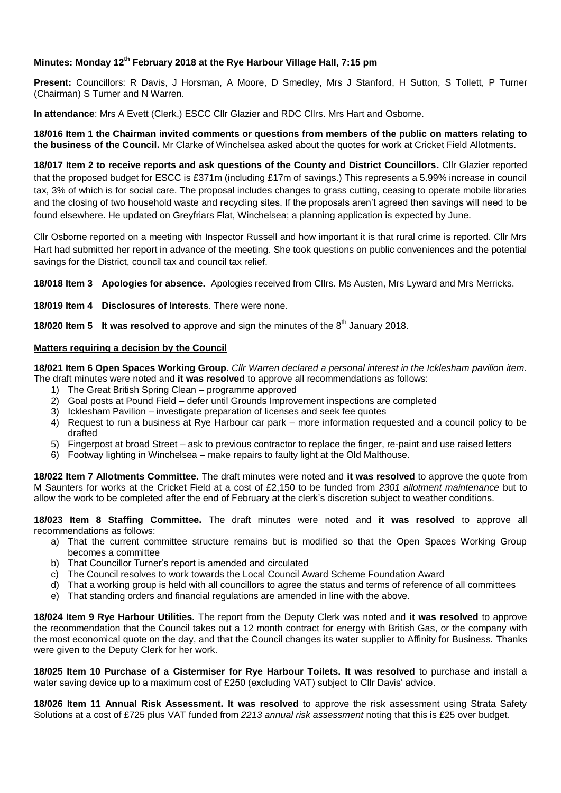## **Minutes: Monday 12th February 2018 at the Rye Harbour Village Hall, 7:15 pm**

**Present:** Councillors: R Davis, J Horsman, A Moore, D Smedley, Mrs J Stanford, H Sutton, S Tollett, P Turner (Chairman) S Turner and N Warren.

**In attendance**: Mrs A Evett (Clerk,) ESCC Cllr Glazier and RDC Cllrs. Mrs Hart and Osborne.

**18/016 Item 1 the Chairman invited comments or questions from members of the public on matters relating to the business of the Council.** Mr Clarke of Winchelsea asked about the quotes for work at Cricket Field Allotments.

**18/017 Item 2 to receive reports and ask questions of the County and District Councillors.** Cllr Glazier reported that the proposed budget for ESCC is £371m (including £17m of savings.) This represents a 5.99% increase in council tax, 3% of which is for social care. The proposal includes changes to grass cutting, ceasing to operate mobile libraries and the closing of two household waste and recycling sites. If the proposals aren't agreed then savings will need to be found elsewhere. He updated on Greyfriars Flat, Winchelsea; a planning application is expected by June.

Cllr Osborne reported on a meeting with Inspector Russell and how important it is that rural crime is reported. Cllr Mrs Hart had submitted her report in advance of the meeting. She took questions on public conveniences and the potential savings for the District, council tax and council tax relief.

**18/018 Item 3 Apologies for absence.** Apologies received from Cllrs. Ms Austen, Mrs Lyward and Mrs Merricks.

**18/019 Item 4 Disclosures of Interests**. There were none.

**18/020 Item 5 It was resolved to** approve and sign the minutes of the 8<sup>th</sup> January 2018.

## **Matters requiring a decision by the Council**

**18/021 Item 6 Open Spaces Working Group.** *Cllr Warren declared a personal interest in the Icklesham pavilion item.*  The draft minutes were noted and **it was resolved** to approve all recommendations as follows:

- 1) The Great British Spring Clean programme approved
- 2) Goal posts at Pound Field defer until Grounds Improvement inspections are completed
- 3) Icklesham Pavilion investigate preparation of licenses and seek fee quotes
- 4) Request to run a business at Rye Harbour car park more information requested and a council policy to be drafted
- 5) Fingerpost at broad Street ask to previous contractor to replace the finger, re-paint and use raised letters
- 6) Footway lighting in Winchelsea make repairs to faulty light at the Old Malthouse.

**18/022 Item 7 Allotments Committee.** The draft minutes were noted and **it was resolved** to approve the quote from M Saunters for works at the Cricket Field at a cost of £2,150 to be funded from *2301 allotment maintenance* but to allow the work to be completed after the end of February at the clerk's discretion subject to weather conditions.

**18/023 Item 8 Staffing Committee.** The draft minutes were noted and **it was resolved** to approve all recommendations as follows:

- a) That the current committee structure remains but is modified so that the Open Spaces Working Group becomes a committee
- b) That Councillor Turner's report is amended and circulated
- c) The Council resolves to work towards the Local Council Award Scheme Foundation Award
- d) That a working group is held with all councillors to agree the status and terms of reference of all committees
- e) That standing orders and financial regulations are amended in line with the above.

**18/024 Item 9 Rye Harbour Utilities.** The report from the Deputy Clerk was noted and **it was resolved** to approve the recommendation that the Council takes out a 12 month contract for energy with British Gas, or the company with the most economical quote on the day, and that the Council changes its water supplier to Affinity for Business. Thanks were given to the Deputy Clerk for her work.

**18/025 Item 10 Purchase of a Cistermiser for Rye Harbour Toilets. It was resolved** to purchase and install a water saving device up to a maximum cost of £250 (excluding VAT) subject to Cllr Davis' advice.

**18/026 Item 11 Annual Risk Assessment. It was resolved** to approve the risk assessment using Strata Safety Solutions at a cost of £725 plus VAT funded from *2213 annual risk assessment* noting that this is £25 over budget.